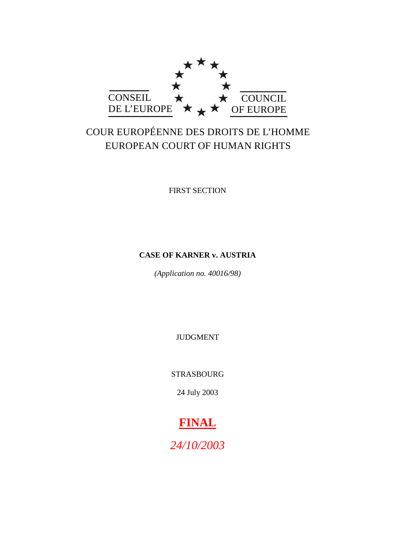

## COUR EUROPÉENNE DES DROITS DE L'HOMME EUROPEAN COURT OF HUMAN RIGHTS

FIRST SECTION

## **CASE OF KARNER v. AUSTRIA**

*(Application no. 40016/98)* 

JUDGMENT

STRASBOURG

24 July 2003

# **FINAL** *24/10/2003*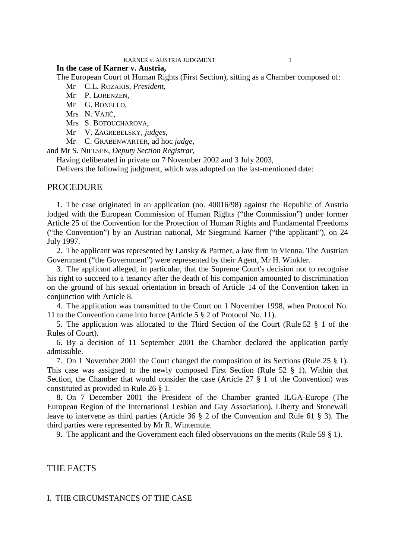#### **In the case of Karner v. Austria,**

The European Court of Human Rights (First Section), sitting as a Chamber composed of:

Mr C.L. ROZAKIS, *President*,

Mr P. LORENZEN,

Mr G. BONELLO,

Mrs N. VAJIĆ,

Mrs S. BOTOUCHAROVA,

Mr V. ZAGREBELSKY, *judges*,

Mr C. GRABENWARTER, ad hoc *judge*,

and Mr S. NIELSEN, *Deputy Section Registrar*,

Having deliberated in private on 7 November 2002 and 3 July 2003,

Delivers the following judgment, which was adopted on the last-mentioned date:

## **PROCEDURE**

1. The case originated in an application (no. 40016/98) against the Republic of Austria lodged with the European Commission of Human Rights ("the Commission") under former Article 25 of the Convention for the Protection of Human Rights and Fundamental Freedoms ("the Convention") by an Austrian national, Mr Siegmund Karner ("the applicant"), on 24 July 1997.

2. The applicant was represented by Lansky & Partner, a law firm in Vienna. The Austrian Government ("the Government") were represented by their Agent, Mr H. Winkler.

3. The applicant alleged, in particular, that the Supreme Court's decision not to recognise his right to succeed to a tenancy after the death of his companion amounted to discrimination on the ground of his sexual orientation in breach of Article 14 of the Convention taken in conjunction with Article 8.

4. The application was transmitted to the Court on 1 November 1998, when Protocol No. 11 to the Convention came into force (Article 5 § 2 of Protocol No. 11).

5. The application was allocated to the Third Section of the Court (Rule 52 § 1 of the Rules of Court).

6. By a decision of 11 September 2001 the Chamber declared the application partly admissible.

7. On 1 November 2001 the Court changed the composition of its Sections (Rule 25 § 1). This case was assigned to the newly composed First Section (Rule 52 § 1). Within that Section, the Chamber that would consider the case (Article 27 § 1 of the Convention) was constituted as provided in Rule 26 § 1.

8. On 7 December 2001 the President of the Chamber granted ILGA-Europe (The European Region of the International Lesbian and Gay Association), Liberty and Stonewall leave to intervene as third parties (Article 36 § 2 of the Convention and Rule 61 § 3). The third parties were represented by Mr R. Wintemute.

9. The applicant and the Government each filed observations on the merits (Rule 59 § 1).

## THE FACTS

## I. THE CIRCUMSTANCES OF THE CASE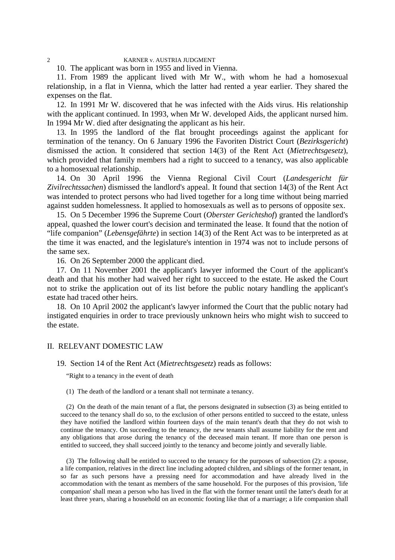10. The applicant was born in 1955 and lived in Vienna.

11. From 1989 the applicant lived with Mr W., with whom he had a homosexual relationship, in a flat in Vienna, which the latter had rented a year earlier. They shared the expenses on the flat.

12. In 1991 Mr W. discovered that he was infected with the Aids virus. His relationship with the applicant continued. In 1993, when Mr W. developed Aids, the applicant nursed him. In 1994 Mr W. died after designating the applicant as his heir.

13. In 1995 the landlord of the flat brought proceedings against the applicant for termination of the tenancy. On 6 January 1996 the Favoriten District Court (*Bezirksgericht*) dismissed the action. It considered that section 14(3) of the Rent Act (*Mietrechtsgesetz*), which provided that family members had a right to succeed to a tenancy, was also applicable to a homosexual relationship.

14. On 30 April 1996 the Vienna Regional Civil Court (*Landesgericht für Zivilrechtssachen*) dismissed the landlord's appeal. It found that section 14(3) of the Rent Act was intended to protect persons who had lived together for a long time without being married against sudden homelessness. It applied to homosexuals as well as to persons of opposite sex.

15. On 5 December 1996 the Supreme Court (*Oberster Gerichtshof*) granted the landlord's appeal, quashed the lower court's decision and terminated the lease. It found that the notion of "life companion" (*Lebensgefährte*) in section 14(3) of the Rent Act was to be interpreted as at the time it was enacted, and the legislature's intention in 1974 was not to include persons of the same sex.

16. On 26 September 2000 the applicant died.

17. On 11 November 2001 the applicant's lawyer informed the Court of the applicant's death and that his mother had waived her right to succeed to the estate. He asked the Court not to strike the application out of its list before the public notary handling the applicant's estate had traced other heirs.

18. On 10 April 2002 the applicant's lawyer informed the Court that the public notary had instigated enquiries in order to trace previously unknown heirs who might wish to succeed to the estate.

## II. RELEVANT DOMESTIC LAW

#### 19. Section 14 of the Rent Act (*Mietrechtsgesetz*) reads as follows:

"Right to a tenancy in the event of death

(1) The death of the landlord or a tenant shall not terminate a tenancy.

(2) On the death of the main tenant of a flat, the persons designated in subsection (3) as being entitled to succeed to the tenancy shall do so, to the exclusion of other persons entitled to succeed to the estate, unless they have notified the landlord within fourteen days of the main tenant's death that they do not wish to continue the tenancy. On succeeding to the tenancy, the new tenants shall assume liability for the rent and any obligations that arose during the tenancy of the deceased main tenant. If more than one person is entitled to succeed, they shall succeed jointly to the tenancy and become jointly and severally liable.

(3) The following shall be entitled to succeed to the tenancy for the purposes of subsection (2): a spouse, a life companion, relatives in the direct line including adopted children, and siblings of the former tenant, in so far as such persons have a pressing need for accommodation and have already lived in the accommodation with the tenant as members of the same household. For the purposes of this provision, 'life companion' shall mean a person who has lived in the flat with the former tenant until the latter's death for at least three years, sharing a household on an economic footing like that of a marriage; a life companion shall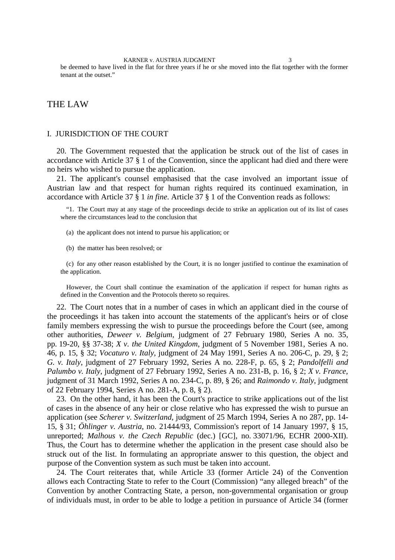be deemed to have lived in the flat for three years if he or she moved into the flat together with the former tenant at the outset."

## THE LAW

#### I. JURISDICTION OF THE COURT

20. The Government requested that the application be struck out of the list of cases in accordance with Article 37 § 1 of the Convention, since the applicant had died and there were no heirs who wished to pursue the application.

21. The applicant's counsel emphasised that the case involved an important issue of Austrian law and that respect for human rights required its continued examination, in accordance with Article 37 § 1 *in fine*. Article 37 § 1 of the Convention reads as follows:

"1. The Court may at any stage of the proceedings decide to strike an application out of its list of cases where the circumstances lead to the conclusion that

- (a) the applicant does not intend to pursue his application; or
- (b) the matter has been resolved; or

(c) for any other reason established by the Court, it is no longer justified to continue the examination of the application.

However, the Court shall continue the examination of the application if respect for human rights as defined in the Convention and the Protocols thereto so requires.

22. The Court notes that in a number of cases in which an applicant died in the course of the proceedings it has taken into account the statements of the applicant's heirs or of close family members expressing the wish to pursue the proceedings before the Court (see, among other authorities, *Deweer v. Belgium*, judgment of 27 February 1980, Series A no. 35, pp. 19-20, §§ 37-38; *X v. the United Kingdom*, judgment of 5 November 1981, Series A no. 46, p. 15, § 32; *Vocaturo v. Italy*, judgment of 24 May 1991, Series A no. 206-C, p. 29, § 2; *G. v. Italy*, judgment of 27 February 1992, Series A no. 228-F, p. 65, § 2; *Pandolfelli and Palumbo v. Italy*, judgment of 27 February 1992, Series A no. 231-B, p. 16, § 2; *X v. France*, judgment of 31 March 1992, Series A no. 234-C, p. 89, § 26; and *Raimondo v. Italy*, judgment of 22 February 1994, Series A no. 281-A, p. 8, § 2).

23. On the other hand, it has been the Court's practice to strike applications out of the list of cases in the absence of any heir or close relative who has expressed the wish to pursue an application (see *Scherer v. Switzerland*, judgment of 25 March 1994, Series A no 287, pp. 14- 15, § 31; *Öhlinger v. Austria*, no. 21444/93, Commission's report of 14 January 1997, § 15, unreported; *Malhous v. the Czech Republic* (dec.) [GC], no. 33071/96, ECHR 2000-XII). Thus, the Court has to determine whether the application in the present case should also be struck out of the list. In formulating an appropriate answer to this question, the object and purpose of the Convention system as such must be taken into account.

24. The Court reiterates that, while Article 33 (former Article 24) of the Convention allows each Contracting State to refer to the Court (Commission) "any alleged breach" of the Convention by another Contracting State, a person, non-governmental organisation or group of individuals must, in order to be able to lodge a petition in pursuance of Article 34 (former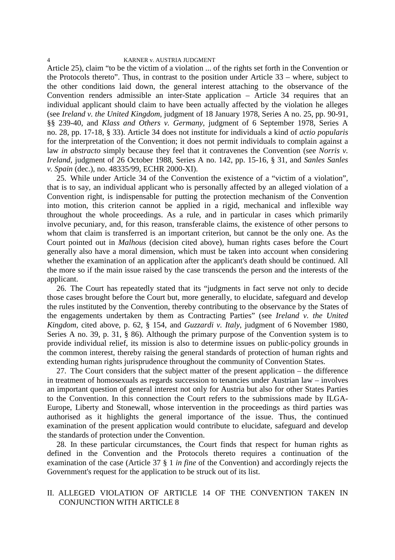Article 25), claim "to be the victim of a violation ... of the rights set forth in the Convention or the Protocols thereto". Thus, in contrast to the position under Article 33 – where, subject to the other conditions laid down, the general interest attaching to the observance of the Convention renders admissible an inter-State application – Article 34 requires that an individual applicant should claim to have been actually affected by the violation he alleges (see *Ireland v. the United Kingdom*, judgment of 18 January 1978, Series A no. 25, pp. 90-91, §§ 239-40, and *Klass and Others v. Germany*, judgment of 6 September 1978, Series A no. 28, pp. 17-18, § 33). Article 34 does not institute for individuals a kind of *actio popularis* for the interpretation of the Convention; it does not permit individuals to complain against a law *in abstracto* simply because they feel that it contravenes the Convention (see *Norris v. Ireland*, judgment of 26 October 1988, Series A no. 142, pp. 15-16, § 31, and *Sanles Sanles v. Spain* (dec.), no. 48335/99, ECHR 2000-XI).

25. While under Article 34 of the Convention the existence of a "victim of a violation", that is to say, an individual applicant who is personally affected by an alleged violation of a Convention right, is indispensable for putting the protection mechanism of the Convention into motion, this criterion cannot be applied in a rigid, mechanical and inflexible way throughout the whole proceedings. As a rule, and in particular in cases which primarily involve pecuniary, and, for this reason, transferable claims, the existence of other persons to whom that claim is transferred is an important criterion, but cannot be the only one. As the Court pointed out in *Malhous* (decision cited above), human rights cases before the Court generally also have a moral dimension, which must be taken into account when considering whether the examination of an application after the applicant's death should be continued. All the more so if the main issue raised by the case transcends the person and the interests of the applicant.

26. The Court has repeatedly stated that its "judgments in fact serve not only to decide those cases brought before the Court but, more generally, to elucidate, safeguard and develop the rules instituted by the Convention, thereby contributing to the observance by the States of the engagements undertaken by them as Contracting Parties" (see *Ireland v. the United Kingdom*, cited above, p. 62, § 154, and *Guzzardi v. Italy*, judgment of 6 November 1980, Series A no. 39, p. 31, § 86). Although the primary purpose of the Convention system is to provide individual relief, its mission is also to determine issues on public-policy grounds in the common interest, thereby raising the general standards of protection of human rights and extending human rights jurisprudence throughout the community of Convention States.

27. The Court considers that the subject matter of the present application – the difference in treatment of homosexuals as regards succession to tenancies under Austrian law – involves an important question of general interest not only for Austria but also for other States Parties to the Convention. In this connection the Court refers to the submissions made by ILGA-Europe, Liberty and Stonewall, whose intervention in the proceedings as third parties was authorised as it highlights the general importance of the issue. Thus, the continued examination of the present application would contribute to elucidate, safeguard and develop the standards of protection under the Convention.

28. In these particular circumstances, the Court finds that respect for human rights as defined in the Convention and the Protocols thereto requires a continuation of the examination of the case (Article 37 § 1 *in fine* of the Convention) and accordingly rejects the Government's request for the application to be struck out of its list.

## II. ALLEGED VIOLATION OF ARTICLE 14 OF THE CONVENTION TAKEN IN CONJUNCTION WITH ARTICLE 8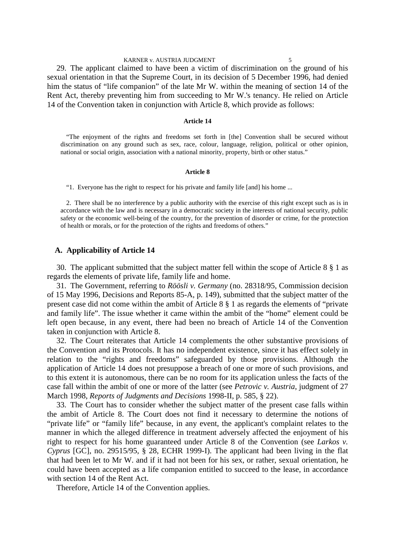29. The applicant claimed to have been a victim of discrimination on the ground of his sexual orientation in that the Supreme Court, in its decision of 5 December 1996, had denied him the status of "life companion" of the late Mr W. within the meaning of section 14 of the Rent Act, thereby preventing him from succeeding to Mr W.'s tenancy. He relied on Article 14 of the Convention taken in conjunction with Article 8, which provide as follows:

#### **Article 14**

"The enjoyment of the rights and freedoms set forth in [the] Convention shall be secured without discrimination on any ground such as sex, race, colour, language, religion, political or other opinion, national or social origin, association with a national minority, property, birth or other status."

#### **Article 8**

"1. Everyone has the right to respect for his private and family life [and] his home ...

2. There shall be no interference by a public authority with the exercise of this right except such as is in accordance with the law and is necessary in a democratic society in the interests of national security, public safety or the economic well-being of the country, for the prevention of disorder or crime, for the protection of health or morals, or for the protection of the rights and freedoms of others."

### **A. Applicability of Article 14**

30. The applicant submitted that the subject matter fell within the scope of Article 8 § 1 as regards the elements of private life, family life and home.

31. The Government, referring to *Röösli v. Germany* (no. 28318/95, Commission decision of 15 May 1996, Decisions and Reports 85-A, p. 149), submitted that the subject matter of the present case did not come within the ambit of Article 8 § 1 as regards the elements of "private and family life". The issue whether it came within the ambit of the "home" element could be left open because, in any event, there had been no breach of Article 14 of the Convention taken in conjunction with Article 8.

32. The Court reiterates that Article 14 complements the other substantive provisions of the Convention and its Protocols. It has no independent existence, since it has effect solely in relation to the "rights and freedoms" safeguarded by those provisions. Although the application of Article 14 does not presuppose a breach of one or more of such provisions, and to this extent it is autonomous, there can be no room for its application unless the facts of the case fall within the ambit of one or more of the latter (see *Petrovic v. Austria*, judgment of 27 March 1998, *Reports of Judgments and Decisions* 1998-II, p. 585, § 22).

33. The Court has to consider whether the subject matter of the present case falls within the ambit of Article 8. The Court does not find it necessary to determine the notions of "private life" or "family life" because, in any event, the applicant's complaint relates to the manner in which the alleged difference in treatment adversely affected the enjoyment of his right to respect for his home guaranteed under Article 8 of the Convention (see *Larkos v. Cyprus* [GC], no. 29515/95, § 28, ECHR 1999-I). The applicant had been living in the flat that had been let to Mr W. and if it had not been for his sex, or rather, sexual orientation, he could have been accepted as a life companion entitled to succeed to the lease, in accordance with section 14 of the Rent Act.

Therefore, Article 14 of the Convention applies.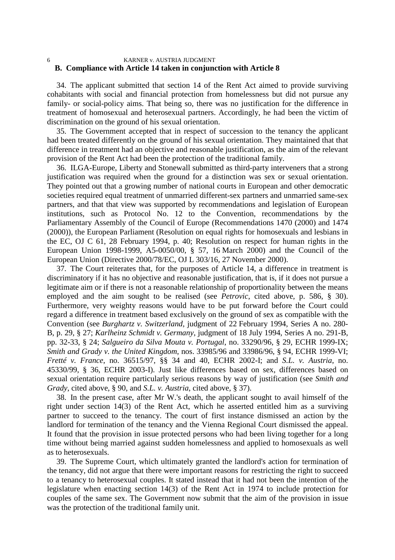## 6 KARNER v. AUSTRIA JUDGMENT **B. Compliance with Article 14 taken in conjunction with Article 8**

34. The applicant submitted that section 14 of the Rent Act aimed to provide surviving cohabitants with social and financial protection from homelessness but did not pursue any family- or social-policy aims. That being so, there was no justification for the difference in treatment of homosexual and heterosexual partners. Accordingly, he had been the victim of discrimination on the ground of his sexual orientation.

35. The Government accepted that in respect of succession to the tenancy the applicant had been treated differently on the ground of his sexual orientation. They maintained that that difference in treatment had an objective and reasonable justification, as the aim of the relevant provision of the Rent Act had been the protection of the traditional family.

36. ILGA-Europe, Liberty and Stonewall submitted as third-party interveners that a strong justification was required when the ground for a distinction was sex or sexual orientation. They pointed out that a growing number of national courts in European and other democratic societies required equal treatment of unmarried different-sex partners and unmarried same-sex partners, and that that view was supported by recommendations and legislation of European institutions, such as Protocol No. 12 to the Convention, recommendations by the Parliamentary Assembly of the Council of Europe (Recommendations 1470 (2000) and 1474 (2000)), the European Parliament (Resolution on equal rights for homosexuals and lesbians in the EC, OJ C 61, 28 February 1994, p. 40; Resolution on respect for human rights in the European Union 1998-1999, A5-0050/00, § 57, 16 March 2000) and the Council of the European Union (Directive 2000/78/EC, OJ L 303/16, 27 November 2000).

37. The Court reiterates that, for the purposes of Article 14, a difference in treatment is discriminatory if it has no objective and reasonable justification, that is, if it does not pursue a legitimate aim or if there is not a reasonable relationship of proportionality between the means employed and the aim sought to be realised (see *Petrovic*, cited above, p. 586, § 30). Furthermore, very weighty reasons would have to be put forward before the Court could regard a difference in treatment based exclusively on the ground of sex as compatible with the Convention (see *Burghartz v. Switzerland,* judgment of 22 February 1994, Series A no. 280- B, p. 29, § 27; *Karlheinz Schmidt v. Germany*, judgment of 18 July 1994, Series A no. 291-B, pp. 32-33, § 24; *Salgueiro da Silva Mouta v. Portugal*, no. 33290/96, § 29, ECHR 1999-IX; *Smith and Grady v. the United Kingdom*, nos. 33985/96 and 33986/96, § 94, ECHR 1999-VI; *Fretté v. France*, no. 36515/97, §§ 34 and 40, ECHR 2002-I; and *S.L. v. Austria*, no. 45330/99, § 36, ECHR 2003-I). Just like differences based on sex, differences based on sexual orientation require particularly serious reasons by way of justification (see *Smith and Grady*, cited above, § 90, and *S.L. v. Austria*, cited above, § 37).

38. In the present case, after Mr W.'s death, the applicant sought to avail himself of the right under section 14(3) of the Rent Act, which he asserted entitled him as a surviving partner to succeed to the tenancy. The court of first instance dismissed an action by the landlord for termination of the tenancy and the Vienna Regional Court dismissed the appeal. It found that the provision in issue protected persons who had been living together for a long time without being married against sudden homelessness and applied to homosexuals as well as to heterosexuals.

39. The Supreme Court, which ultimately granted the landlord's action for termination of the tenancy, did not argue that there were important reasons for restricting the right to succeed to a tenancy to heterosexual couples. It stated instead that it had not been the intention of the legislature when enacting section 14(3) of the Rent Act in 1974 to include protection for couples of the same sex. The Government now submit that the aim of the provision in issue was the protection of the traditional family unit.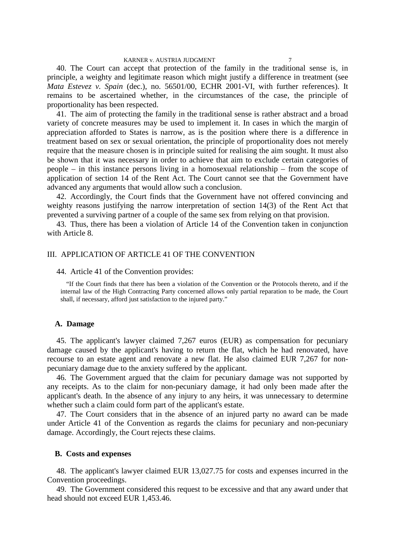40. The Court can accept that protection of the family in the traditional sense is, in principle, a weighty and legitimate reason which might justify a difference in treatment (see *Mata Estevez v. Spain* (dec.), no. 56501/00, ECHR 2001-VI, with further references). It remains to be ascertained whether, in the circumstances of the case, the principle of proportionality has been respected.

41. The aim of protecting the family in the traditional sense is rather abstract and a broad variety of concrete measures may be used to implement it. In cases in which the margin of appreciation afforded to States is narrow, as is the position where there is a difference in treatment based on sex or sexual orientation, the principle of proportionality does not merely require that the measure chosen is in principle suited for realising the aim sought. It must also be shown that it was necessary in order to achieve that aim to exclude certain categories of people – in this instance persons living in a homosexual relationship – from the scope of application of section 14 of the Rent Act. The Court cannot see that the Government have advanced any arguments that would allow such a conclusion.

42. Accordingly, the Court finds that the Government have not offered convincing and weighty reasons justifying the narrow interpretation of section 14(3) of the Rent Act that prevented a surviving partner of a couple of the same sex from relying on that provision.

43. Thus, there has been a violation of Article 14 of the Convention taken in conjunction with Article 8.

#### III. APPLICATION OF ARTICLE 41 OF THE CONVENTION

#### 44. Article 41 of the Convention provides:

"If the Court finds that there has been a violation of the Convention or the Protocols thereto, and if the internal law of the High Contracting Party concerned allows only partial reparation to be made, the Court shall, if necessary, afford just satisfaction to the injured party."

## **A. Damage**

45. The applicant's lawyer claimed 7,267 euros (EUR) as compensation for pecuniary damage caused by the applicant's having to return the flat, which he had renovated, have recourse to an estate agent and renovate a new flat. He also claimed EUR 7,267 for nonpecuniary damage due to the anxiety suffered by the applicant.

46. The Government argued that the claim for pecuniary damage was not supported by any receipts. As to the claim for non-pecuniary damage, it had only been made after the applicant's death. In the absence of any injury to any heirs, it was unnecessary to determine whether such a claim could form part of the applicant's estate.

47. The Court considers that in the absence of an injured party no award can be made under Article 41 of the Convention as regards the claims for pecuniary and non-pecuniary damage. Accordingly, the Court rejects these claims.

#### **B. Costs and expenses**

48. The applicant's lawyer claimed EUR 13,027.75 for costs and expenses incurred in the Convention proceedings.

49. The Government considered this request to be excessive and that any award under that head should not exceed EUR 1,453.46.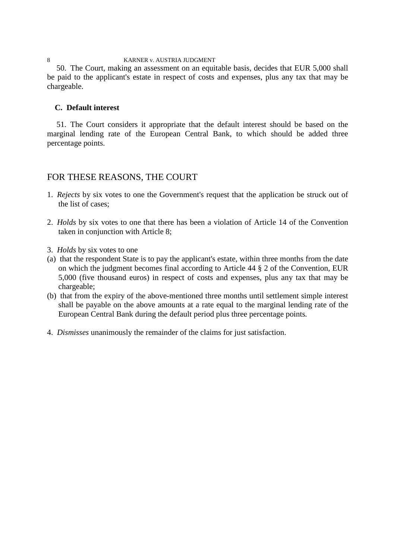50. The Court, making an assessment on an equitable basis, decides that EUR 5,000 shall be paid to the applicant's estate in respect of costs and expenses, plus any tax that may be chargeable.

## **C. Default interest**

51. The Court considers it appropriate that the default interest should be based on the marginal lending rate of the European Central Bank, to which should be added three percentage points.

## FOR THESE REASONS, THE COURT

- 1. *Rejects* by six votes to one the Government's request that the application be struck out of the list of cases;
- 2. *Holds* by six votes to one that there has been a violation of Article 14 of the Convention taken in conjunction with Article 8;
- 3. *Holds* by six votes to one
- (a) that the respondent State is to pay the applicant's estate, within three months from the date on which the judgment becomes final according to Article 44 § 2 of the Convention, EUR 5,000 (five thousand euros) in respect of costs and expenses, plus any tax that may be chargeable;
- (b) that from the expiry of the above-mentioned three months until settlement simple interest shall be payable on the above amounts at a rate equal to the marginal lending rate of the European Central Bank during the default period plus three percentage points*.*
- 4. *Dismisses* unanimously the remainder of the claims for just satisfaction.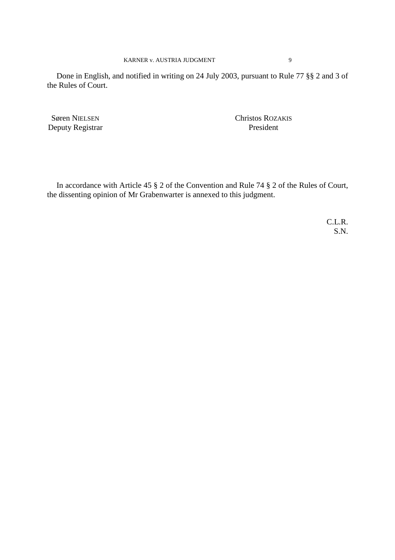Done in English, and notified in writing on 24 July 2003, pursuant to Rule 77 §§ 2 and 3 of the Rules of Court.

Deputy Registrar

Søren NIELSEN Christos ROZAKIS<br>Deputy Registrar President President

In accordance with Article 45 § 2 of the Convention and Rule 74 § 2 of the Rules of Court, the dissenting opinion of Mr Grabenwarter is annexed to this judgment.

> C.L.R. S.N.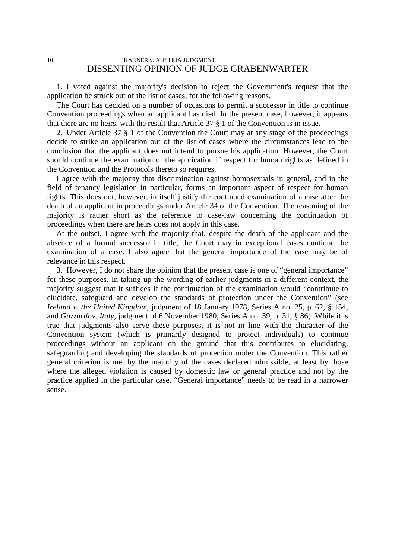## 10 KARNER v. AUSTRIA JUDGMENT DISSENTING OPINION OF JUDGE GRABENWARTER

1. I voted against the majority's decision to reject the Government's request that the application be struck out of the list of cases, for the following reasons.

The Court has decided on a number of occasions to permit a successor in title to continue Convention proceedings when an applicant has died. In the present case, however, it appears that there are no heirs, with the result that Article 37 § 1 of the Convention is in issue.

2. Under Article 37 § 1 of the Convention the Court may at any stage of the proceedings decide to strike an application out of the list of cases where the circumstances lead to the conclusion that the applicant does not intend to pursue his application. However, the Court should continue the examination of the application if respect for human rights as defined in the Convention and the Protocols thereto so requires.

I agree with the majority that discrimination against homosexuals in general, and in the field of tenancy legislation in particular, forms an important aspect of respect for human rights. This does not, however, in itself justify the continued examination of a case after the death of an applicant in proceedings under Article 34 of the Convention. The reasoning of the majority is rather short as the reference to case-law concerning the continuation of proceedings when there are heirs does not apply in this case.

At the outset, I agree with the majority that, despite the death of the applicant and the absence of a formal successor in title, the Court may in exceptional cases continue the examination of a case. I also agree that the general importance of the case may be of relevance in this respect.

3. However, I do not share the opinion that the present case is one of "general importance" for these purposes. In taking up the wording of earlier judgments in a different context, the majority suggest that it suffices if the continuation of the examination would "contribute to elucidate, safeguard and develop the standards of protection under the Convention" (see *Ireland v. the United Kingdom*, judgment of 18 January 1978, Series A no. 25, p. 62, § 154, and *Guzzardi v. Italy*, judgment of 6 November 1980, Series A no. 39, p. 31, § 86). While it is true that judgments also serve these purposes, it is not in line with the character of the Convention system (which is primarily designed to protect individuals) to continue proceedings without an applicant on the ground that this contributes to elucidating, safeguarding and developing the standards of protection under the Convention. This rather general criterion is met by the majority of the cases declared admissible, at least by those where the alleged violation is caused by domestic law or general practice and not by the practice applied in the particular case. "General importance" needs to be read in a narrower sense.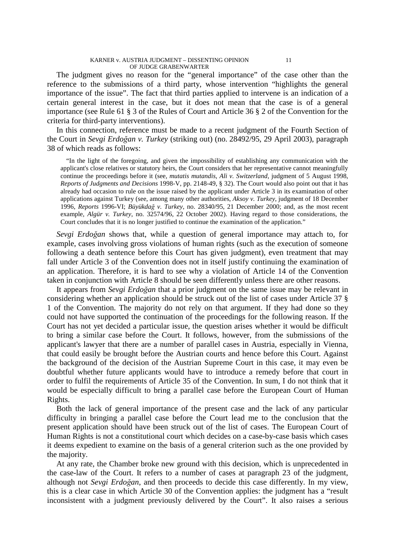#### KARNER v. AUSTRIA JUDGMENT – DISSENTING OPINION 11 OF JUDGE GRABENWARTER

The judgment gives no reason for the "general importance" of the case other than the reference to the submissions of a third party, whose intervention "highlights the general importance of the issue". The fact that third parties applied to intervene is an indication of a certain general interest in the case, but it does not mean that the case is of a general importance (see Rule 61 § 3 of the Rules of Court and Article 36 § 2 of the Convention for the criteria for third-party interventions).

In this connection, reference must be made to a recent judgment of the Fourth Section of the Court in *Sevgi Erdo*ğ*an v. Turkey* (striking out) (no. 28492/95, 29 April 2003), paragraph 38 of which reads as follows:

"In the light of the foregoing, and given the impossibility of establishing any communication with the applicant's close relatives or statutory heirs, the Court considers that her representative cannot meaningfully continue the proceedings before it (see, *mutatis mutandis*, *Ali v. Switzerland*, judgment of 5 August 1998, *Reports of Judgments and Decisions* 1998-V, pp. 2148-49, § 32). The Court would also point out that it has already had occasion to rule on the issue raised by the applicant under Article 3 in its examination of other applications against Turkey (see, among many other authorities, *Aksoy v. Turkey*, judgment of 18 December 1996, *Reports* 1996-VI; *Büyükda*ğ *v. Turkey*, no. 28340/95, 21 December 2000; and, as the most recent example, *Algür v. Turkey*, no. 32574/96, 22 October 2002). Having regard to those considerations, the Court concludes that it is no longer justified to continue the examination of the application."

*Sevgi Erdo*ğ*an* shows that, while a question of general importance may attach to, for example, cases involving gross violations of human rights (such as the execution of someone following a death sentence before this Court has given judgment), even treatment that may fall under Article 3 of the Convention does not in itself justify continuing the examination of an application. Therefore, it is hard to see why a violation of Article 14 of the Convention taken in conjunction with Article 8 should be seen differently unless there are other reasons.

It appears from *Sevgi Erdo*ğ*an* that a prior judgment on the same issue may be relevant in considering whether an application should be struck out of the list of cases under Article 37 § 1 of the Convention. The majority do not rely on that argument. If they had done so they could not have supported the continuation of the proceedings for the following reason. If the Court has not yet decided a particular issue, the question arises whether it would be difficult to bring a similar case before the Court. It follows, however, from the submissions of the applicant's lawyer that there are a number of parallel cases in Austria, especially in Vienna, that could easily be brought before the Austrian courts and hence before this Court. Against the background of the decision of the Austrian Supreme Court in this case, it may even be doubtful whether future applicants would have to introduce a remedy before that court in order to fulfil the requirements of Article 35 of the Convention. In sum, I do not think that it would be especially difficult to bring a parallel case before the European Court of Human Rights.

Both the lack of general importance of the present case and the lack of any particular difficulty in bringing a parallel case before the Court lead me to the conclusion that the present application should have been struck out of the list of cases. The European Court of Human Rights is not a constitutional court which decides on a case-by-case basis which cases it deems expedient to examine on the basis of a general criterion such as the one provided by the majority.

At any rate, the Chamber broke new ground with this decision, which is unprecedented in the case-law of the Court. It refers to a number of cases at paragraph 23 of the judgment, although not *Sevgi Erdo*ğ*an*, and then proceeds to decide this case differently. In my view, this is a clear case in which Article 30 of the Convention applies: the judgment has a "result inconsistent with a judgment previously delivered by the Court". It also raises a serious